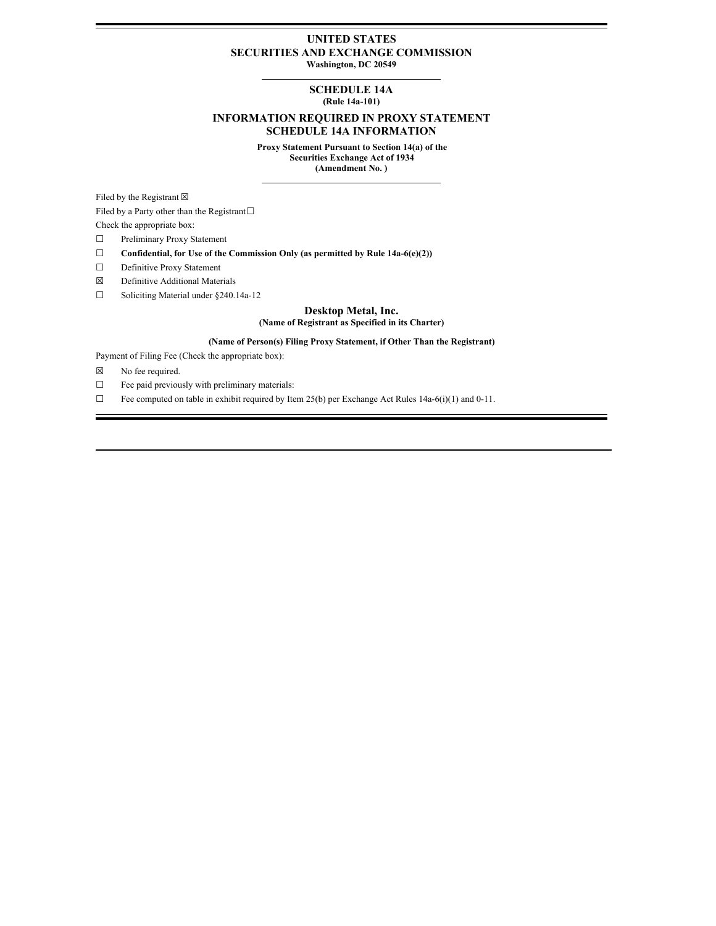#### **UNITED STATES SECURITIES AND EXCHANGE COMMISSION Washington, DC 20549**

# **SCHEDULE 14A**

### **(Rule 14a-101)**

### **INFORMATION REQUIRED IN PROXY STATEMENT SCHEDULE 14A INFORMATION**

**Proxy Statement Pursuant to Section 14(a) of the Securities Exchange Act of 1934 (Amendment No. )**

Filed by the Registrant  $\boxtimes$ 

Filed by a Party other than the Registrant $□$ 

Check the appropriate box:

- ☐ Preliminary Proxy Statement
- ☐ **Confidential, for Use of the Commission Only (as permitted by Rule 14a-6(e)(2))**
- ☐ Definitive Proxy Statement
- ☒ Definitive Additional Materials
- ☐ Soliciting Material under §240.14a-12

## **Desktop Metal, Inc.**

#### **(Name of Registrant as Specified in its Charter)**

#### **(Name of Person(s) Filing Proxy Statement, if Other Than the Registrant)**

Payment of Filing Fee (Check the appropriate box):

- ☒ No fee required.
- ☐ Fee paid previously with preliminary materials:
- ☐ Fee computed on table in exhibit required by Item 25(b) per Exchange Act Rules 14a-6(i)(1) and 0-11.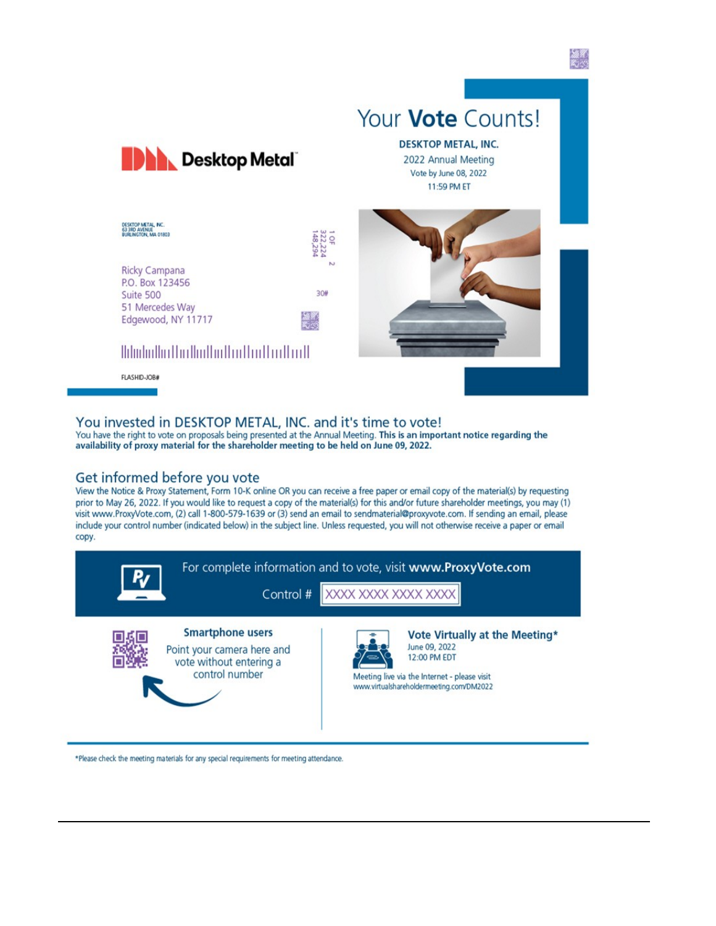

# You invested in DESKTOP METAL, INC. and it's time to vote!

You have the right to vote on proposals being presented at the Annual Meeting. This is an important notice regarding the availability of proxy material for the shareholder meeting to be held on June 09, 2022.

### Get informed before you vote

View the Notice & Proxy Statement, Form 10-K online OR you can receive a free paper or email copy of the material(s) by requesting prior to May 26, 2022. If you would like to request a copy of the material(s) for this and/or future shareholder meetings, you may (1) visit www.ProxyVote.com, (2) call 1-800-579-1639 or (3) send an email to sendmaterial@proxyvote.com. If sending an email, please include your control number (indicated below) in the subject line. Unless requested, you will not otherwise receive a paper or email copy.



#### \*Please check the meeting materials for any special requirements for meeting attendance.